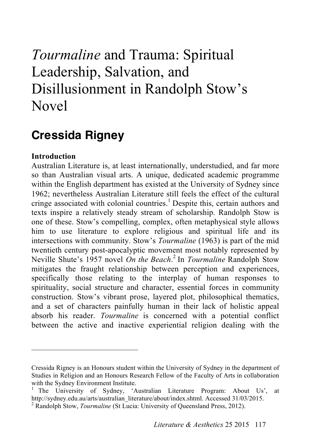# *Tourmaline* and Trauma: Spiritual Leadership, Salvation, and Disillusionment in Randolph Stow's Novel

# **Cressida Rigney**

# **Introduction**

 $\overline{a}$ 

Australian Literature is, at least internationally, understudied, and far more so than Australian visual arts. A unique, dedicated academic programme within the English department has existed at the University of Sydney since 1962; nevertheless Australian Literature still feels the effect of the cultural cringe associated with colonial countries. 1 Despite this, certain authors and texts inspire a relatively steady stream of scholarship. Randolph Stow is one of these. Stow's compelling, complex, often metaphysical style allows him to use literature to explore religious and spiritual life and its intersections with community. Stow's *Tourmaline* (1963) is part of the mid twentieth century post-apocalyptic movement most notably represented by Neville Shute's 1957 novel *On the Beach*. <sup>2</sup> In *Tourmaline* Randolph Stow mitigates the fraught relationship between perception and experiences, specifically those relating to the interplay of human responses to spirituality, social structure and character, essential forces in community construction. Stow's vibrant prose, layered plot, philosophical thematics, and a set of characters painfully human in their lack of holistic appeal absorb his reader. *Tourmaline* is concerned with a potential conflict between the active and inactive experiential religion dealing with the

Cressida Rigney is an Honours student within the University of Sydney in the department of Studies in Religion and an Honours Research Fellow of the Faculty of Arts in collaboration with the Sydney Environment Institute.<br><sup>1</sup> The University of Sydney, 'Australian Literature Program: About Us',

http://sydney.edu.au/arts/australian\_literature/about/index.shtml. Accessed 31/03/2015. <sup>2</sup> Randolph Stow, *Tourmaline* (St Lucia: University of Queensland Press, 2012).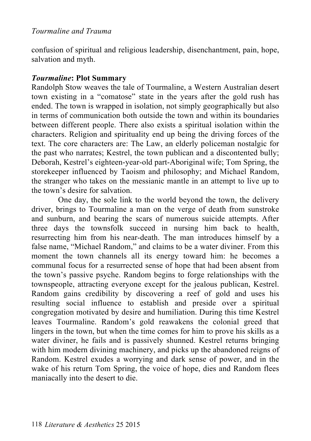confusion of spiritual and religious leadership, disenchantment, pain, hope, salvation and myth.

# *Tourmaline***: Plot Summary**

Randolph Stow weaves the tale of Tourmaline, a Western Australian desert town existing in a "comatose" state in the years after the gold rush has ended. The town is wrapped in isolation, not simply geographically but also in terms of communication both outside the town and within its boundaries between different people. There also exists a spiritual isolation within the characters. Religion and spirituality end up being the driving forces of the text. The core characters are: The Law, an elderly policeman nostalgic for the past who narrates; Kestrel, the town publican and a discontented bully; Deborah, Kestrel's eighteen-year-old part-Aboriginal wife; Tom Spring, the storekeeper influenced by Taoism and philosophy; and Michael Random, the stranger who takes on the messianic mantle in an attempt to live up to the town's desire for salvation.

One day, the sole link to the world beyond the town, the delivery driver, brings to Tourmaline a man on the verge of death from sunstroke and sunburn, and bearing the scars of numerous suicide attempts. After three days the townsfolk succeed in nursing him back to health, resurrecting him from his near-death. The man introduces himself by a false name, "Michael Random," and claims to be a water diviner. From this moment the town channels all its energy toward him: he becomes a communal focus for a resurrected sense of hope that had been absent from the town's passive psyche. Random begins to forge relationships with the townspeople, attracting everyone except for the jealous publican, Kestrel. Random gains credibility by discovering a reef of gold and uses his resulting social influence to establish and preside over a spiritual congregation motivated by desire and humiliation. During this time Kestrel leaves Tourmaline. Random's gold reawakens the colonial greed that lingers in the town, but when the time comes for him to prove his skills as a water diviner, he fails and is passively shunned. Kestrel returns bringing with him modern divining machinery, and picks up the abandoned reigns of Random. Kestrel exudes a worrying and dark sense of power, and in the wake of his return Tom Spring, the voice of hope, dies and Random flees maniacally into the desert to die.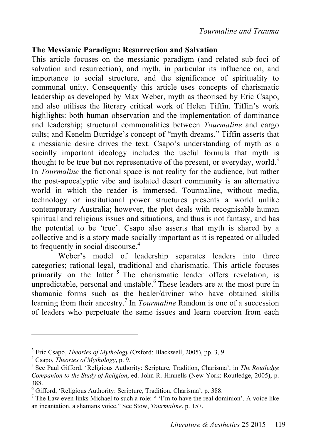# **The Messianic Paradigm: Resurrection and Salvation**

This article focuses on the messianic paradigm (and related sub-foci of salvation and resurrection), and myth, in particular its influence on, and importance to social structure, and the significance of spirituality to communal unity. Consequently this article uses concepts of charismatic leadership as developed by Max Weber, myth as theorised by Eric Csapo, and also utilises the literary critical work of Helen Tiffin. Tiffin's work highlights: both human observation and the implementation of dominance and leadership; structural commonalities between *Tourmaline* and cargo cults; and Kenelm Burridge's concept of "myth dreams." Tiffin asserts that a messianic desire drives the text. Csapo's understanding of myth as a socially important ideology includes the useful formula that myth is thought to be true but not representative of the present, or everyday, world.<sup>3</sup> In *Tourmaline* the fictional space is not reality for the audience, but rather the post-apocalyptic vibe and isolated desert community is an alternative world in which the reader is immersed. Tourmaline, without media, technology or institutional power structures presents a world unlike contemporary Australia; however, the plot deals with recognisable human spiritual and religious issues and situations, and thus is not fantasy, and has the potential to be 'true'. Csapo also asserts that myth is shared by a collective and is a story made socially important as it is repeated or alluded to frequently in social discourse. 4

Weber's model of leadership separates leaders into three categories; rational-legal, traditional and charismatic. This article focuses primarily on the latter.<sup>5</sup> The charismatic leader offers revelation, is unpredictable, personal and unstable.<sup>6</sup> These leaders are at the most pure in shamanic forms such as the healer/diviner who have obtained skills learning from their ancestry.<sup>7</sup> In *Tourmaline* Random is one of a succession of leaders who perpetuate the same issues and learn coercion from each

<sup>&</sup>lt;sup>3</sup> Eric Csapo, *Theories of Mythology* (Oxford: Blackwell, 2005), pp. 3, 9.

<sup>&</sup>lt;sup>4</sup> Csapo, *Theories of Mythology*, p. 9.<br><sup>5</sup> See Paul Gifford, 'Religious Authority: Scripture, Tradition, Charisma', in *The Routledge Companion to the Study of Religion*, ed. John R. Hinnells (New York: Routledge, 2005), p. 388.

 $^6$  Gifford, 'Religious Authority: Scripture, Tradition, Charisma', p. 388.

<sup>&</sup>lt;sup>7</sup> The Law even links Michael to such a role: " 'I'm to have the real dominion'. A voice like an incantation, a shamans voice." See Stow, *Tourmaline*, p. 157.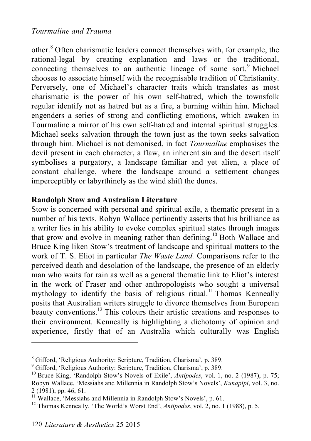other.<sup>8</sup> Often charismatic leaders connect themselves with, for example, the rational-legal by creating explanation and laws or the traditional, connecting themselves to an authentic lineage of some sort.<sup>9</sup> Michael chooses to associate himself with the recognisable tradition of Christianity. Perversely, one of Michael's character traits which translates as most charismatic is the power of his own self-hatred, which the townsfolk regular identify not as hatred but as a fire, a burning within him. Michael engenders a series of strong and conflicting emotions, which awaken in Tourmaline a mirror of his own self-hatred and internal spiritual struggles. Michael seeks salvation through the town just as the town seeks salvation through him. Michael is not demonised, in fact *Tourmaline* emphasises the devil present in each character, a flaw, an inherent sin and the desert itself symbolises a purgatory, a landscape familiar and yet alien, a place of constant challenge, where the landscape around a settlement changes imperceptibly or labyrthinely as the wind shift the dunes.

# **Randolph Stow and Australian Literature**

Stow is concerned with personal and spiritual exile, a thematic present in a number of his texts. Robyn Wallace pertinently asserts that his brilliance as a writer lies in his ability to evoke complex spiritual states through images that grow and evolve in meaning rather than defining. 10 Both Wallace and Bruce King liken Stow's treatment of landscape and spiritual matters to the work of T. S. Eliot in particular *The Waste Land.* Comparisons refer to the perceived death and desolation of the landscape, the presence of an elderly man who waits for rain as well as a general thematic link to Eliot's interest in the work of Fraser and other anthropologists who sought a universal mythology to identify the basis of religious ritual.<sup>11</sup> Thomas Kenneally posits that Australian writers struggle to divorce themselves from European beauty conventions.<sup>12</sup> This colours their artistic creations and responses to their environment. Kenneally is highlighting a dichotomy of opinion and experience, firstly that of an Australia which culturally was English

 ${}^{8}$  Gifford, 'Religious Authority: Scripture, Tradition, Charisma', p. 389.

Gifford, 'Religious Authority: Scripture, Tradition, Charisma', p. 389. <sup>10</sup> Bruce King, 'Randolph Stow's Novels of Exile', *Antipodes*, vol. 1, no. 2 (1987), p. 75; Robyn Wallace, 'Messiahs and Millennia in Randolph Stow's Novels', *Kunapipi*, vol. 3, no. 2 (1981), pp. 46, 61.<br><sup>11</sup> Wallace, 'Messiahs and Millennia in Randolph Stow's Novels', p. 61.<br><sup>12</sup> Thomas Kenneally, 'The World's Worst End', *Antipodes*, vol. 2, no. 1 (1988), p. 5.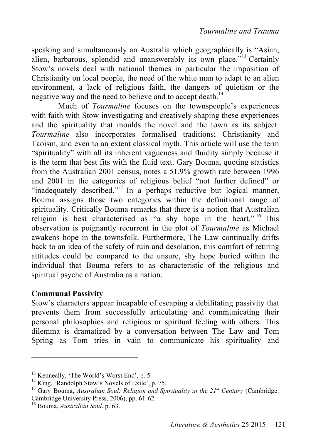speaking and simultaneously an Australia which geographically is "Asian, alien, barbarous, splendid and unanswerably its own place."<sup>13</sup> Certainly Stow's novels deal with national themes in particular the imposition of Christianity on local people, the need of the white man to adapt to an alien environment, a lack of religious faith, the dangers of quietism or the negative way and the need to believe and to accept death.<sup>14</sup>

Much of *Tourmaline* focuses on the townspeople's experiences with faith with Stow investigating and creatively shaping these experiences and the spirituality that moulds the novel and the town as its subject. *Tourmaline* also incorporates formalised traditions; Christianity and Taoism, and even to an extent classical myth. This article will use the term "spirituality" with all its inherent vagueness and fluidity simply because it is the term that best fits with the fluid text. Gary Bouma, quoting statistics from the Australian 2001 census, notes a 51.9% growth rate between 1996 and 2001 in the categories of religious belief "not further defined" or "inadequately described."<sup>15</sup> In a perhaps reductive but logical manner, Bouma assigns those two categories within the definitional range of spirituality. Critically Bouma remarks that there is a notion that Australian religion is best characterised as "a shy hope in the heart."<sup>16</sup> This observation is poignantly recurrent in the plot of *Tourmaline* as Michael awakens hope in the townsfolk. Furthermore, The Law continually drifts back to an idea of the safety of ruin and desolation, this comfort of retiring attitudes could be compared to the unsure, shy hope buried within the individual that Bouma refers to as characteristic of the religious and spiritual psyche of Australia as a nation.

# **Communal Passivity**

 $\overline{a}$ 

Stow's characters appear incapable of escaping a debilitating passivity that prevents them from successfully articulating and communicating their personal philosophies and religious or spiritual feeling with others. This dilemma is dramatized by a conversation between The Law and Tom Spring as Tom tries in vain to communicate his spirituality and

<sup>&</sup>lt;sup>13</sup> Kenneally, 'The World's Worst End', p. 5.<br><sup>14</sup> King, 'Randolph Stow's Novels of Exile', p. 75.<br><sup>15</sup> Gary Bouma, *Australian Soul: Religion and Spirituality in the 21<sup><i>st Century* (Cambridge:</sup> Cambridge University Press, 2006), pp. 61-62. 16 Bouma, *Australian Soul*, p. 63.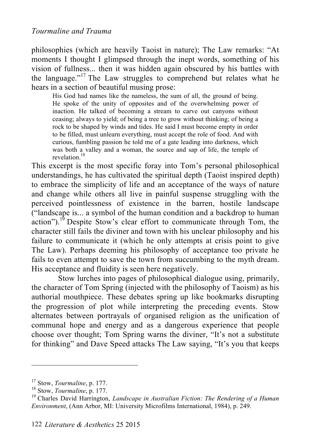philosophies (which are heavily Taoist in nature); The Law remarks: "At moments I thought I glimpsed through the inept words, something of his vision of fullness... then it was hidden again obscured by his battles with the language."<sup>17</sup> The Law struggles to comprehend but relates what he hears in a section of beautiful musing prose:

His God had names like the nameless, the sum of all, the ground of being. He spoke of the unity of opposites and of the overwhelming power of inaction. He talked of becoming a stream to carve out canyons without ceasing; always to yield; of being a tree to grow without thinking; of being a rock to be shaped by winds and tides. He said I must become empty in order to be filled, must unlearn everything, must accept the role of food. And with curious, fumbling passion he told me of a gate leading into darkness, which was both a valley and a woman, the source and sap of life, the temple of revelation. 18

This excerpt is the most specific foray into Tom's personal philosophical understandings, he has cultivated the spiritual depth (Taoist inspired depth) to embrace the simplicity of life and an acceptance of the ways of nature and change while others all live in painful suspense struggling with the perceived pointlessness of existence in the barren, hostile landscape ("landscape is... a symbol of the human condition and a backdrop to human action").<sup>19</sup> Despite Stow's clear effort to communicate through Tom, the character still fails the diviner and town with his unclear philosophy and his failure to communicate it (which he only attempts at crisis point to give The Law). Perhaps deeming his philosophy of acceptance too private he fails to even attempt to save the town from succumbing to the myth dream. His acceptance and fluidity is seen here negatively.

Stow lurches into pages of philosophical dialogue using, primarily, the character of Tom Spring (injected with the philosophy of Taoism) as his authorial mouthpiece. These debates spring up like bookmarks disrupting the progression of plot while interpreting the preceding events. Stow alternates between portrayals of organised religion as the unification of communal hope and energy and as a dangerous experience that people choose over thought; Tom Spring warns the diviner, "It's not a substitute for thinking" and Dave Speed attacks The Law saying, "It's you that keeps

<sup>&</sup>lt;sup>17</sup> Stow, *Tourmaline*, p. 177.<br><sup>18</sup> Stow, *Tourmaline*, p. 177.<br><sup>19</sup> Charles David Harrington, *Landscape in Australian Fiction: The Rendering of a Human Environment*, (Ann Arbor, MI: University Microfilms International, 1984), p. 249.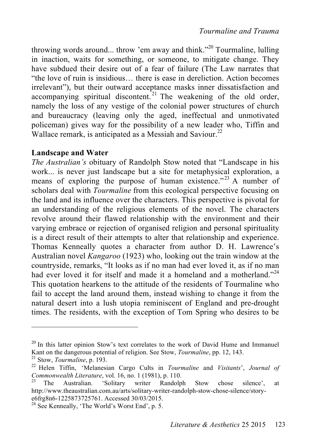throwing words around... throw 'em away and think."<sup>20</sup> Tourmaline, lulling in inaction, waits for something, or someone, to mitigate change. They have subdued their desire out of a fear of failure (The Law narrates that "the love of ruin is insidious… there is ease in dereliction. Action becomes irrelevant"), but their outward acceptance masks inner dissatisfaction and accompanying spiritual discontent.<sup>21</sup> The weakening of the old order, namely the loss of any vestige of the colonial power structures of church and bureaucracy (leaving only the aged, ineffectual and unmotivated policeman) gives way for the possibility of a new leader who, Tiffin and Wallace remark, is anticipated as a Messiah and Saviour.<sup>22</sup>

#### **Landscape and Water**

*The Australian's* obituary of Randolph Stow noted that "Landscape in his work... is never just landscape but a site for metaphysical exploration, a means of exploring the purpose of human existence."<sup>23</sup> A number of scholars deal with *Tourmaline* from this ecological perspective focusing on the land and its influence over the characters. This perspective is pivotal for an understanding of the religious elements of the novel. The characters revolve around their flawed relationship with the environment and their varying embrace or rejection of organised religion and personal spirituality is a direct result of their attempts to alter that relationship and experience. Thomas Kenneally quotes a character from author D. H. Lawrence's Australian novel *Kangaroo* (1923) who, looking out the train window at the countryside, remarks, "It looks as if no man had ever loved it, as if no man had ever loved it for itself and made it a homeland and a motherland."<sup>24</sup> This quotation hearkens to the attitude of the residents of Tourmaline who fail to accept the land around them, instead wishing to change it from the natural desert into a lush utopia reminiscent of England and pre-drought times. The residents, with the exception of Tom Spring who desires to be

<sup>&</sup>lt;sup>20</sup> In this latter opinion Stow's text correlates to the work of David Hume and Immanuel Kant on the dangerous potential of religion. See Stow, *Tourmaline*, pp. 12, 143.<br><sup>21</sup> Stow, *Tourmaline*, p. 193.<br><sup>22</sup> Helen Tiffin, 'Melanesian Cargo Cults in *Tourmaline* and *Visitants*', *Journal of* 

*Commonwealth Literature*, vol. 16, no. 1 (1981), p. 110.<br><sup>23</sup> The Australian. 'Solitary writer Randolph Stow chose silence', at

http://www.theaustralian.com.au/arts/solitary-writer-randolph-stow-chose-silence/storye6frg8n6-1225873725761. Accessed 30/03/2015.<br><sup>24</sup> See Kenneally, 'The World's Worst End', p. 5.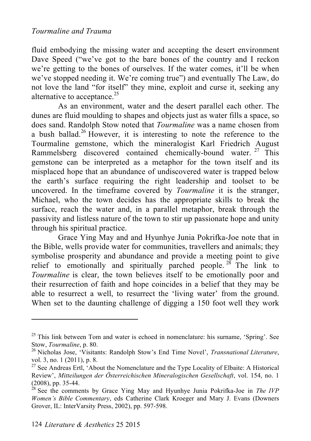fluid embodying the missing water and accepting the desert environment Dave Speed ("we've got to the bare bones of the country and I reckon we're getting to the bones of ourselves. If the water comes, it'll be when we've stopped needing it. We're coming true") and eventually The Law, do not love the land "for itself" they mine, exploit and curse it, seeking any alternative to acceptance.<sup>25</sup>

As an environment, water and the desert parallel each other. The dunes are fluid moulding to shapes and objects just as water fills a space, so does sand. Randolph Stow noted that *Tourmaline* was a name chosen from a bush ballad.<sup>26</sup> However, it is interesting to note the reference to the Tourmaline gemstone, which the mineralogist Karl Friedrich August Rammelsberg discovered contained chemically-bound water. <sup>27</sup> This gemstone can be interpreted as a metaphor for the town itself and its misplaced hope that an abundance of undiscovered water is trapped below the earth's surface requiring the right leadership and toolset to be uncovered. In the timeframe covered by *Tourmaline* it is the stranger, Michael, who the town decides has the appropriate skills to break the surface, reach the water and, in a parallel metaphor, break through the passivity and listless nature of the town to stir up passionate hope and unity through his spiritual practice.

Grace Ying May and and Hyunhye Junia Pokrifka-Joe note that in the Bible, wells provide water for communities, travellers and animals; they symbolise prosperity and abundance and provide a meeting point to give relief to emotionally and spiritually parched people.  $28 \text{ The link}$  to *Tourmaline* is clear, the town believes itself to be emotionally poor and their resurrection of faith and hope coincides in a belief that they may be able to resurrect a well, to resurrect the 'living water' from the ground. When set to the daunting challenge of digging a 150 foot well they work

 $25$  This link between Tom and water is echoed in nomenclature: his surname, 'Spring'. See Stow, *Tourmaline*, p. 80.<br><sup>26</sup> Nicholas Jose, 'Visitants: Randolph Stow's End Time Novel', *Transnational Literature*,

vol. 3, no. 1 (2011), p. 8.<br><sup>27</sup> See Andreas Ertl, 'About the Nomenclature and the Type Locality of Elbaite: A Historical

Review', *Mitteilungen der Österreichischen Mineralogischen Gesellschaft*, vol. 154, no. 1 (2008), pp. 35-44. 28 See the comments by Grace Ying May and Hyunhye Junia Pokrifka-Joe in *The IVP* 

*Women's Bible Commentary*, eds Catherine Clark Kroeger and Mary J. Evans (Downers Grover, IL: InterVarsity Press, 2002), pp. 597-598.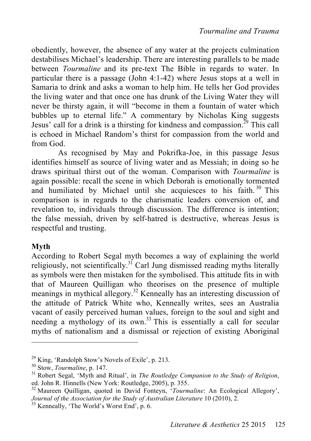obediently, however, the absence of any water at the projects culmination destabilises Michael's leadership. There are interesting parallels to be made between *Tourmaline* and its pre-text The Bible in regards to water. In particular there is a passage (John 4:1-42) where Jesus stops at a well in Samaria to drink and asks a woman to help him. He tells her God provides the living water and that once one has drunk of the Living Water they will never be thirsty again, it will "become in them a fountain of water which bubbles up to eternal life." A commentary by Nicholas King suggests Jesus' call for a drink is a thirsting for kindness and compassion.<sup>29</sup> This call is echoed in Michael Random's thirst for compassion from the world and from God.

As recognised by May and Pokrifka-Joe, in this passage Jesus identifies himself as source of living water and as Messiah; in doing so he draws spiritual thirst out of the woman. Comparison with *Tourmaline* is again possible: recall the scene in which Deborah is emotionally tormented and humiliated by Michael until she acquiesces to his faith.<sup>30</sup> This comparison is in regards to the charismatic leaders conversion of, and revelation to, individuals through discussion. The difference is intention; the false messiah, driven by self-hatred is destructive, whereas Jesus is respectful and trusting.

#### **Myth**

 $\overline{a}$ 

According to Robert Segal myth becomes a way of explaining the world religiously, not scientifically.<sup>31</sup> Carl Jung dismissed reading myths literally as symbols were then mistaken for the symbolised. This attitude fits in with that of Maureen Quilligan who theorises on the presence of multiple meanings in mythical allegory.<sup>32</sup> Kenneally has an interesting discussion of the attitude of Patrick White who, Kenneally writes, sees an Australia vacant of easily perceived human values, foreign to the soul and sight and needing a mythology of its own. 33 This is essentially a call for secular myths of nationalism and a dismissal or rejection of existing Aboriginal

<sup>&</sup>lt;sup>29</sup> King, 'Randolph Stow's Novels of Exile', p. 213.<br><sup>30</sup> Stow, *Tourmaline*, p. 147.<br><sup>31</sup> Robert Segal, 'Myth and Ritual', in *The Routledge Companion to the Study of Religion*, ed. John R. Hinnells (New York: Routledge, 2005), p. 355.<br><sup>32</sup> Maureen Quilligan, quoted in David Fonteyn, '*Tourmaline*: An Ecological Allegory',

*Journal of the Association for the Study of Australian Literature* 10 (2010), 2.<br><sup>33</sup> Kenneally, 'The World's Worst End', p. 6.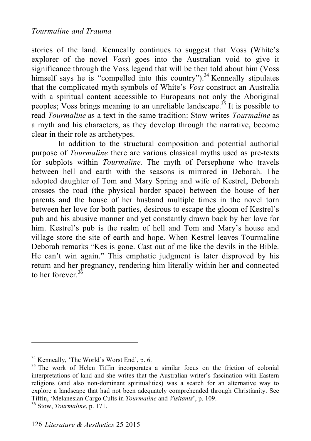#### *Tourmaline and Trauma*

stories of the land. Kenneally continues to suggest that Voss (White's explorer of the novel *Voss*) goes into the Australian void to give it significance through the Voss legend that will be then told about him (Voss himself says he is "compelled into this country").<sup>34</sup> Kenneally stipulates that the complicated myth symbols of White's *Voss* construct an Australia with a spiritual content accessible to Europeans not only the Aboriginal peoples; Voss brings meaning to an unreliable landscape.<sup>35</sup> It is possible to read *Tourmaline* as a text in the same tradition: Stow writes *Tourmaline* as a myth and his characters, as they develop through the narrative, become clear in their role as archetypes.

In addition to the structural composition and potential authorial purpose of *Tourmaline* there are various classical myths used as pre-texts for subplots within *Tourmaline.* The myth of Persephone who travels between hell and earth with the seasons is mirrored in Deborah. The adopted daughter of Tom and Mary Spring and wife of Kestrel, Deborah crosses the road (the physical border space) between the house of her parents and the house of her husband multiple times in the novel torn between her love for both parties, desirous to escape the gloom of Kestrel's pub and his abusive manner and yet constantly drawn back by her love for him. Kestrel's pub is the realm of hell and Tom and Mary's house and village store the site of earth and hope. When Kestrel leaves Tourmaline Deborah remarks "Kes is gone. Cast out of me like the devils in the Bible. He can't win again." This emphatic judgment is later disproved by his return and her pregnancy, rendering him literally within her and connected to her forever.<sup>36</sup>

<sup>&</sup>lt;sup>34</sup> Kenneally, 'The World's Worst End', p. 6.<br><sup>35</sup> The work of Helen Tiffin incorporates a similar focus on the friction of colonial interpretations of land and she writes that the Australian writer's fascination with Eastern religions (and also non-dominant spiritualities) was a search for an alternative way to explore a landscape that had not been adequately comprehended through Christianity. See Tiffin, 'Melanesian Cargo Cults in *Tourmaline* and *Visitants*', p. 109. 36 Stow, *Tourmaline*, p. 171.

<sup>126</sup> *Literature & Aesthetics* 25 2015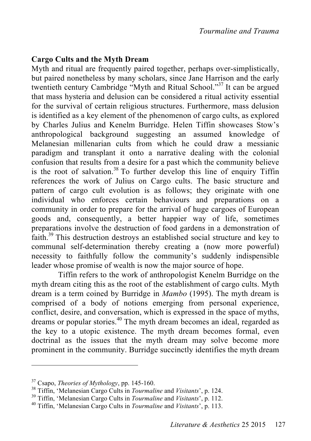#### **Cargo Cults and the Myth Dream**

Myth and ritual are frequently paired together, perhaps over-simplistically, but paired nonetheless by many scholars, since Jane Harrison and the early twentieth century Cambridge "Myth and Ritual School." 37 It can be argued that mass hysteria and delusion can be considered a ritual activity essential for the survival of certain religious structures. Furthermore, mass delusion is identified as a key element of the phenomenon of cargo cults, as explored by Charles Julius and Kenelm Burridge. Helen Tiffin showcases Stow's anthropological background suggesting an assumed knowledge of Melanesian millenarian cults from which he could draw a messianic paradigm and transplant it onto a narrative dealing with the colonial confusion that results from a desire for a past which the community believe is the root of salvation. 38 To further develop this line of enquiry Tiffin references the work of Julius on Cargo cults. The basic structure and pattern of cargo cult evolution is as follows; they originate with one individual who enforces certain behaviours and preparations on a community in order to prepare for the arrival of huge cargoes of European goods and, consequently, a better happier way of life, sometimes preparations involve the destruction of food gardens in a demonstration of faith.<sup>39</sup> This destruction destroys an established social structure and key to communal self-determination thereby creating a (now more powerful) necessity to faithfully follow the community's suddenly indispensible leader whose promise of wealth is now the major source of hope.

Tiffin refers to the work of anthropologist Kenelm Burridge on the myth dream citing this as the root of the establishment of cargo cults. Myth dream is a term coined by Burridge in *Mambo* (1995). The myth dream is comprised of a body of notions emerging from personal experience, conflict, desire, and conversation, which is expressed in the space of myths, dreams or popular stories. 40 The myth dream becomes an ideal, regarded as the key to a utopic existence. The myth dream becomes formal, even doctrinal as the issues that the myth dream may solve become more prominent in the community. Burridge succinctly identifies the myth dream

<sup>&</sup>lt;sup>37</sup> Csapo, *Theories of Mythology*, pp. 145-160.<br><sup>38</sup> Tiffin, 'Melanesian Cargo Cults in *Tourmaline* and *Visitants*', p. 124.<br><sup>39</sup> Tiffin, 'Melanesian Cargo Cults in *Tourmaline* and *Visitants*', p. 112.<br><sup>40</sup> Tiffin,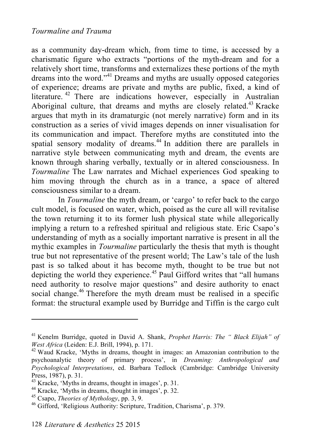as a community day-dream which, from time to time, is accessed by a charismatic figure who extracts "portions of the myth-dream and for a relatively short time, transforms and externalizes these portions of the myth dreams into the word." 41 Dreams and myths are usually opposed categories of experience; dreams are private and myths are public, fixed, a kind of literature. 42 There are indications however, especially in Australian Aboriginal culture, that dreams and myths are closely related.<sup>43</sup> Kracke argues that myth in its dramaturgic (not merely narrative) form and in its construction as a series of vivid images depends on inner visualisation for its communication and impact. Therefore myths are constituted into the spatial sensory modality of dreams.<sup>44</sup> In addition there are parallels in narrative style between communicating myth and dream, the events are known through sharing verbally, textually or in altered consciousness. In *Tourmaline* The Law narrates and Michael experiences God speaking to him moving through the church as in a trance, a space of altered consciousness similar to a dream.

In *Tourmaline* the myth dream, or 'cargo' to refer back to the cargo cult model, is focused on water, which, poised as the cure all will revitalise the town returning it to its former lush physical state while allegorically implying a return to a refreshed spiritual and religious state. Eric Csapo's understanding of myth as a socially important narrative is present in all the mythic examples in *Tourmaline* particularly the thesis that myth is thought true but not representative of the present world; The Law's tale of the lush past is so talked about it has become myth, thought to be true but not depicting the world they experience.<sup>45</sup> Paul Gifford writes that "all humans" need authority to resolve major questions" and desire authority to enact social change.<sup>46</sup> Therefore the myth dream must be realised in a specific format: the structural example used by Burridge and Tiffin is the cargo cult

<sup>41</sup> Kenelm Burridge, quoted in David A. Shank, *Prophet Harris: The " Black Elijah" of West Africa* (Leiden: E.J. Brill, 1994), p. 171.<br><sup>42</sup> Waud Kracke, 'Myths in dreams, thought in images: an Amazonian contribution to the

psychoanalytic theory of primary process', in *Dreaming: Anthropological and Psychological Interpretations*, ed. Barbara Tedlock (Cambridge: Cambridge University Press, 1987), p. 31.<br><sup>43</sup> Kracke, 'Myths in dreams, thought in images', p. 31.<br><sup>44</sup> Kracke, 'Myths in dreams, thought in images', p. 32.<br><sup>45</sup> Csapo, *Theories of Mythology*, pp. 3, 9.<br><sup>46</sup> Gifford, 'Religious Authority: Sc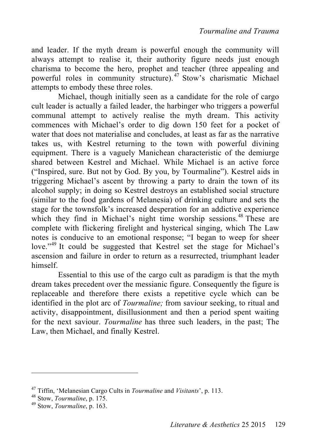and leader. If the myth dream is powerful enough the community will always attempt to realise it, their authority figure needs just enough charisma to become the hero, prophet and teacher (three appealing and powerful roles in community structure). 47 Stow's charismatic Michael attempts to embody these three roles.

Michael, though initially seen as a candidate for the role of cargo cult leader is actually a failed leader, the harbinger who triggers a powerful communal attempt to actively realise the myth dream. This activity commences with Michael's order to dig down 150 feet for a pocket of water that does not materialise and concludes, at least as far as the narrative takes us, with Kestrel returning to the town with powerful divining equipment. There is a vaguely Manichean characteristic of the demiurge shared between Kestrel and Michael. While Michael is an active force ("Inspired, sure. But not by God. By you, by Tourmaline"). Kestrel aids in triggering Michael's ascent by throwing a party to drain the town of its alcohol supply; in doing so Kestrel destroys an established social structure (similar to the food gardens of Melanesia) of drinking culture and sets the stage for the townsfolk's increased desperation for an addictive experience which they find in Michael's night time worship sessions.<sup>48</sup> These are complete with flickering firelight and hysterical singing, which The Law notes is conducive to an emotional response; "I began to weep for sheer love."<sup>49</sup> It could be suggested that Kestrel set the stage for Michael's ascension and failure in order to return as a resurrected, triumphant leader himself.

Essential to this use of the cargo cult as paradigm is that the myth dream takes precedent over the messianic figure. Consequently the figure is replaceable and therefore there exists a repetitive cycle which can be identified in the plot arc of *Tourmaline;* from saviour seeking, to ritual and activity, disappointment, disillusionment and then a period spent waiting for the next saviour. *Tourmaline* has three such leaders, in the past; The Law, then Michael, and finally Kestrel.

<sup>47</sup> Tiffin, 'Melanesian Cargo Cults in *Tourmaline* and *Visitants*', p. 113. 48 Stow, *Tourmaline*, p. 175. 49 Stow, *Tourmaline*, p. 163.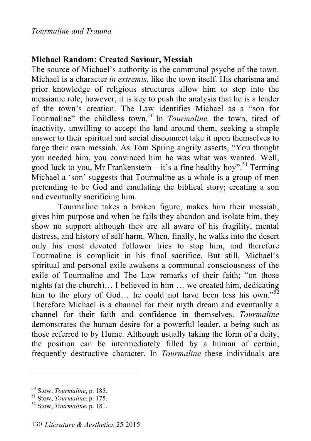# **Michael Random: Created Saviour, Messiah**

The source of Michael's authority is the communal psyche of the town. Michael is a character *in extremis,* like the town itself. His charisma and prior knowledge of religious structures allow him to step into the messianic role, however, it is key to push the analysis that he is a leader of the town's creation. The Law identifies Michael as a "son for Tourmaline" the childless town. 50 In *Tourmaline,* the town, tired of inactivity, unwilling to accept the land around them, seeking a simple answer to their spiritual and social disconnect take it upon themselves to forge their own messiah. As Tom Spring angrily asserts, "You thought you needed him, you convinced him he was what was wanted. Well, good luck to you, Mr Frankenstein  $-$  it's a fine healthy boy".<sup>51</sup> Terming Michael a 'son' suggests that Tourmaline as a whole is a group of men pretending to be God and emulating the biblical story; creating a son and eventually sacrificing him.

Tourmaline takes a broken figure, makes him their messiah, gives him purpose and when he fails they abandon and isolate him, they show no support although they are all aware of his fragility, mental distress, and history of self harm. When, finally, he walks into the desert only his most devoted follower tries to stop him, and therefore Tourmaline is complicit in his final sacrifice. But still, Michael's spiritual and personal exile awakens a communal consciousness of the exile of Tourmaline and The Law remarks of their faith; "on those nights (at the church)… I believed in him … we created him, dedicating him to the glory of God... he could not have been less his own." $52$ Therefore Michael is a channel for their myth dream and eventually a channel for their faith and confidence in themselves. *Tourmaline* demonstrates the human desire for a powerful leader, a being such as those referred to by Hume. Although usually taking the form of a deity, the position can be intermediately filled by a human of certain, frequently destructive character. In *Tourmaline* these individuals are

<sup>50</sup> Stow, *Tourmaline*, p. 185. 51 Stow, *Tourmaline*, p. 175. 52 Stow, *Tourmaline*, p. 181.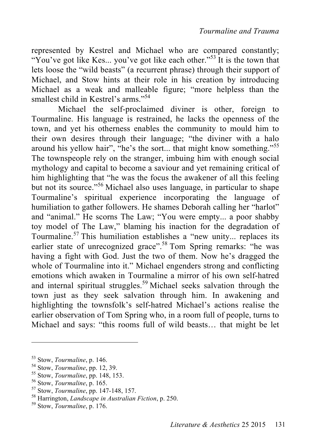represented by Kestrel and Michael who are compared constantly; "You've got like Kes... you've got like each other."<sup>53</sup> It is the town that lets loose the "wild beasts" (a recurrent phrase) through their support of Michael, and Stow hints at their role in his creation by introducing Michael as a weak and malleable figure; "more helpless than the smallest child in Kestrel's arms."<sup>54</sup>

Michael the self-proclaimed diviner is other, foreign to Tourmaline. His language is restrained, he lacks the openness of the town, and yet his otherness enables the community to mould him to their own desires through their language; "the diviner with a halo around his yellow hair", "he's the sort... that might know something."<sup>55</sup> The townspeople rely on the stranger, imbuing him with enough social mythology and capital to become a saviour and yet remaining critical of him highlighting that "he was the focus the awakener of all this feeling but not its source."56 Michael also uses language, in particular to shape Tourmaline's spiritual experience incorporating the language of humiliation to gather followers. He shames Deborah calling her "harlot" and "animal." He scorns The Law; "You were empty... a poor shabby toy model of The Law," blaming his inaction for the degradation of Tourmaline. 57 This humiliation establishes a "new unity... replaces its earlier state of unrecognized grace".<sup>58</sup> Tom Spring remarks: "he was having a fight with God. Just the two of them. Now he's dragged the whole of Tourmaline into it." Michael engenders strong and conflicting emotions which awaken in Tourmaline a mirror of his own self-hatred and internal spiritual struggles.<sup>59</sup> Michael seeks salvation through the town just as they seek salvation through him. In awakening and highlighting the townsfolk's self-hatred Michael's actions realise the earlier observation of Tom Spring who, in a room full of people, turns to Michael and says: "this rooms full of wild beasts… that might be let

<sup>&</sup>lt;sup>53</sup> Stow, *Tourmaline*, p. 146.<br><sup>54</sup> Stow, *Tourmaline*, pp. 12, 39.<br><sup>55</sup> Stow, *Tourmaline*, pp. 148, 153.<br><sup>56</sup> Stow, *Tourmaline*, p. 165.<br><sup>57</sup> Stow, *Tourmaline*, pp. 147-148, 157.<br><sup>58</sup> Harrington, *Landscape in Austr*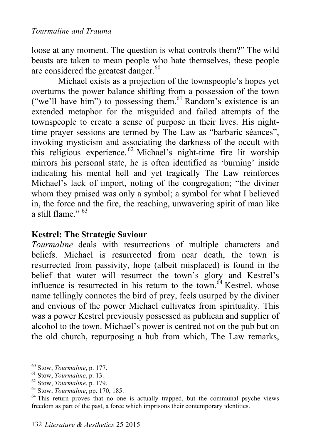loose at any moment. The question is what controls them?" The wild beasts are taken to mean people who hate themselves, these people are considered the greatest danger.<sup>60</sup>

Michael exists as a projection of the townspeople's hopes yet overturns the power balance shifting from a possession of the town ("we'll have him") to possessing them. 61 Random's existence is an extended metaphor for the misguided and failed attempts of the townspeople to create a sense of purpose in their lives. His nighttime prayer sessions are termed by The Law as "barbaric séances", invoking mysticism and associating the darkness of the occult with this religious experience. 62 Michael's night-time fire lit worship mirrors his personal state, he is often identified as 'burning' inside indicating his mental hell and yet tragically The Law reinforces Michael's lack of import, noting of the congregation; "the diviner whom they praised was only a symbol; a symbol for what I believed in, the force and the fire, the reaching, unwavering spirit of man like a still flame."  $63$ 

# **Kestrel: The Strategic Saviour**

*Tourmaline* deals with resurrections of multiple characters and beliefs. Michael is resurrected from near death, the town is resurrected from passivity, hope (albeit misplaced) is found in the belief that water will resurrect the town's glory and Kestrel's influence is resurrected in his return to the town.<sup> $64$ </sup> Kestrel, whose name tellingly connotes the bird of prey, feels usurped by the diviner and envious of the power Michael cultivates from spirituality. This was a power Kestrel previously possessed as publican and supplier of alcohol to the town. Michael's power is centred not on the pub but on the old church, repurposing a hub from which, The Law remarks,

<sup>&</sup>lt;sup>60</sup> Stow, *Tourmaline*, p. 177.<br>
<sup>61</sup> Stow, *Tourmaline*, p. 13.<br>
<sup>62</sup> Stow, *Tourmaline*, p. 179.<br>
<sup>63</sup> Stow, *Tourmaline*, pp. 170, 185.<br>
<sup>64</sup> This return proves that no one is actually trapped, but the communal psyche freedom as part of the past, a force which imprisons their contemporary identities.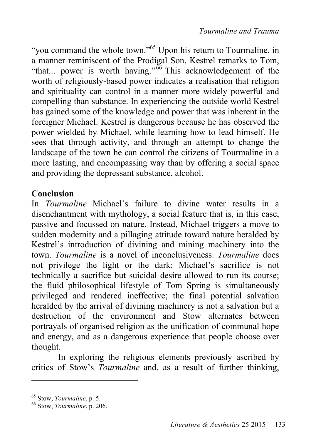"you command the whole town."<sup>65</sup> Upon his return to Tourmaline, in a manner reminiscent of the Prodigal Son, Kestrel remarks to Tom, "that... power is worth having."<sup>66</sup> This acknowledgement of the worth of religiously-based power indicates a realisation that religion and spirituality can control in a manner more widely powerful and compelling than substance. In experiencing the outside world Kestrel has gained some of the knowledge and power that was inherent in the foreigner Michael. Kestrel is dangerous because he has observed the power wielded by Michael, while learning how to lead himself. He sees that through activity, and through an attempt to change the landscape of the town he can control the citizens of Tourmaline in a more lasting, and encompassing way than by offering a social space and providing the depressant substance, alcohol.

# **Conclusion**

In *Tourmaline* Michael's failure to divine water results in a disenchantment with mythology, a social feature that is, in this case, passive and focussed on nature. Instead, Michael triggers a move to sudden modernity and a pillaging attitude toward nature heralded by Kestrel's introduction of divining and mining machinery into the town. *Tourmaline* is a novel of inconclusiveness. *Tourmaline* does not privilege the light or the dark: Michael's sacrifice is not technically a sacrifice but suicidal desire allowed to run its course; the fluid philosophical lifestyle of Tom Spring is simultaneously privileged and rendered ineffective; the final potential salvation heralded by the arrival of divining machinery is not a salvation but a destruction of the environment and Stow alternates between portrayals of organised religion as the unification of communal hope and energy, and as a dangerous experience that people choose over thought.

In exploring the religious elements previously ascribed by critics of Stow's *Tourmaline* and, as a result of further thinking,

<sup>65</sup> Stow, *Tourmaline*, p. 5. 66 Stow, *Tourmaline*, p. 206.